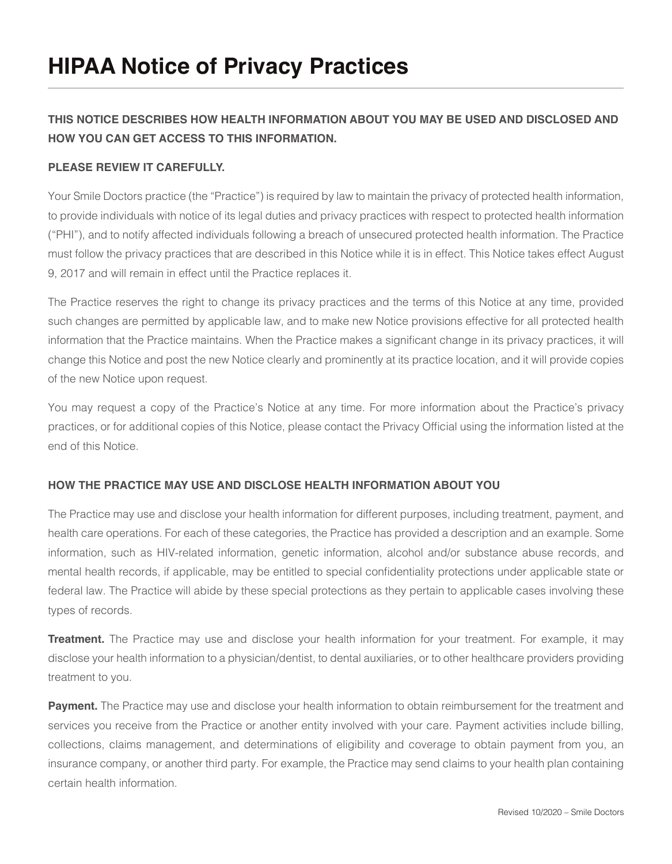### **THIS NOTICE DESCRIBES HOW HEALTH INFORMATION ABOUT YOU MAY BE USED AND DISCLOSED AND HOW YOU CAN GET ACCESS TO THIS INFORMATION.**

#### **PLEASE REVIEW IT CAREFULLY.**

Your Smile Doctors practice (the "Practice") is required by law to maintain the privacy of protected health information, to provide individuals with notice of its legal duties and privacy practices with respect to protected health information ("PHI"), and to notify affected individuals following a breach of unsecured protected health information. The Practice must follow the privacy practices that are described in this Notice while it is in effect. This Notice takes effect August 9, 2017 and will remain in effect until the Practice replaces it.

The Practice reserves the right to change its privacy practices and the terms of this Notice at any time, provided such changes are permitted by applicable law, and to make new Notice provisions effective for all protected health information that the Practice maintains. When the Practice makes a significant change in its privacy practices, it will change this Notice and post the new Notice clearly and prominently at its practice location, and it will provide copies of the new Notice upon request.

You may request a copy of the Practice's Notice at any time. For more information about the Practice's privacy practices, or for additional copies of this Notice, please contact the Privacy Official using the information listed at the end of this Notice.

#### **HOW THE PRACTICE MAY USE AND DISCLOSE HEALTH INFORMATION ABOUT YOU**

The Practice may use and disclose your health information for different purposes, including treatment, payment, and health care operations. For each of these categories, the Practice has provided a description and an example. Some information, such as HIV-related information, genetic information, alcohol and/or substance abuse records, and mental health records, if applicable, may be entitled to special confidentiality protections under applicable state or federal law. The Practice will abide by these special protections as they pertain to applicable cases involving these types of records.

**Treatment.** The Practice may use and disclose your health information for your treatment. For example, it may disclose your health information to a physician/dentist, to dental auxiliaries, or to other healthcare providers providing treatment to you.

**Payment.** The Practice may use and disclose your health information to obtain reimbursement for the treatment and services you receive from the Practice or another entity involved with your care. Payment activities include billing, collections, claims management, and determinations of eligibility and coverage to obtain payment from you, an insurance company, or another third party. For example, the Practice may send claims to your health plan containing certain health information.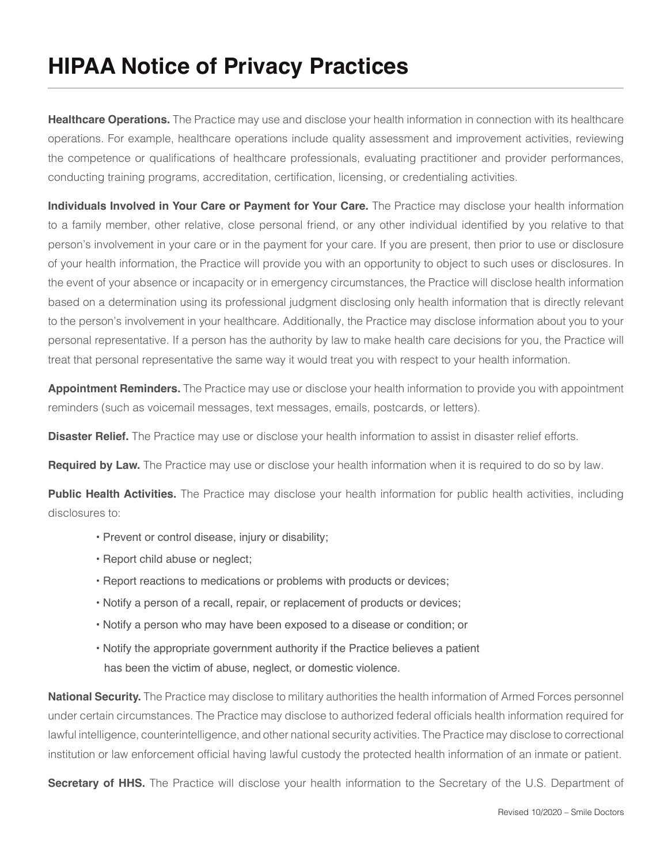**Healthcare Operations.** The Practice may use and disclose your health information in connection with its healthcare operations. For example, healthcare operations include quality assessment and improvement activities, reviewing the competence or qualifications of healthcare professionals, evaluating practitioner and provider performances, conducting training programs, accreditation, certification, licensing, or credentialing activities.

**Individuals Involved in Your Care or Payment for Your Care.** The Practice may disclose your health information to a family member, other relative, close personal friend, or any other individual identified by you relative to that person's involvement in your care or in the payment for your care. If you are present, then prior to use or disclosure of your health information, the Practice will provide you with an opportunity to object to such uses or disclosures. In the event of your absence or incapacity or in emergency circumstances, the Practice will disclose health information based on a determination using its professional judgment disclosing only health information that is directly relevant to the person's involvement in your healthcare. Additionally, the Practice may disclose information about you to your personal representative. If a person has the authority by law to make health care decisions for you, the Practice will treat that personal representative the same way it would treat you with respect to your health information.

**Appointment Reminders.** The Practice may use or disclose your health information to provide you with appointment reminders (such as voicemail messages, text messages, emails, postcards, or letters).

**Disaster Relief.** The Practice may use or disclose your health information to assist in disaster relief efforts.

**Required by Law.** The Practice may use or disclose your health information when it is required to do so by law.

**Public Health Activities.** The Practice may disclose your health information for public health activities, including disclosures to:

- Prevent or control disease, injury or disability;
- Report child abuse or neglect;
- Report reactions to medications or problems with products or devices;
- Notify a person of a recall, repair, or replacement of products or devices;
- Notify a person who may have been exposed to a disease or condition; or
- Notify the appropriate government authority if the Practice believes a patient has been the victim of abuse, neglect, or domestic violence.

**National Security.** The Practice may disclose to military authorities the health information of Armed Forces personnel under certain circumstances. The Practice may disclose to authorized federal officials health information required for lawful intelligence, counterintelligence, and other national security activities. The Practice may disclose to correctional institution or law enforcement official having lawful custody the protected health information of an inmate or patient.

**Secretary of HHS.** The Practice will disclose your health information to the Secretary of the U.S. Department of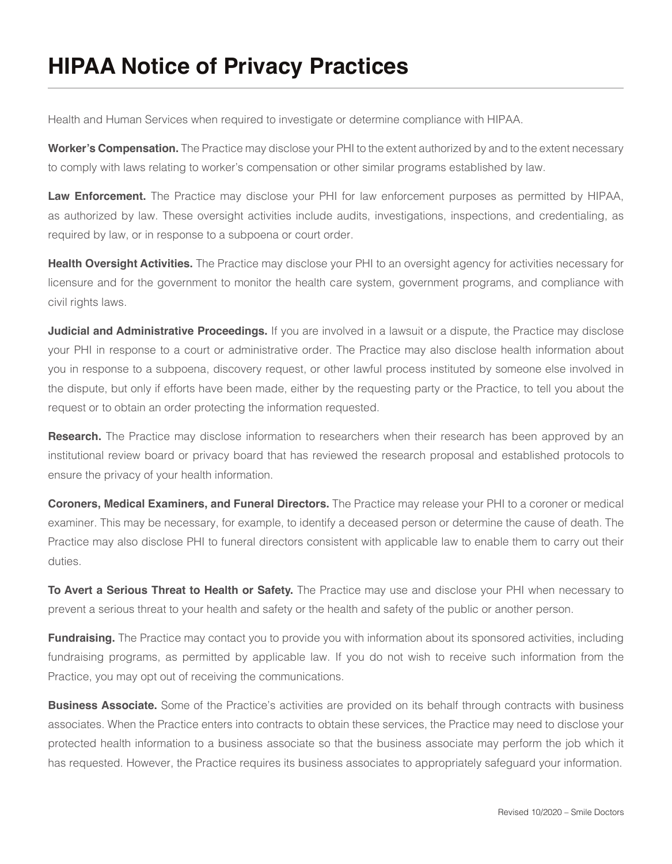Health and Human Services when required to investigate or determine compliance with HIPAA.

**Worker's Compensation.** The Practice may disclose your PHI to the extent authorized by and to the extent necessary to comply with laws relating to worker's compensation or other similar programs established by law.

**Law Enforcement.** The Practice may disclose your PHI for law enforcement purposes as permitted by HIPAA, as authorized by law. These oversight activities include audits, investigations, inspections, and credentialing, as required by law, or in response to a subpoena or court order.

**Health Oversight Activities.** The Practice may disclose your PHI to an oversight agency for activities necessary for licensure and for the government to monitor the health care system, government programs, and compliance with civil rights laws.

**Judicial and Administrative Proceedings.** If you are involved in a lawsuit or a dispute, the Practice may disclose your PHI in response to a court or administrative order. The Practice may also disclose health information about you in response to a subpoena, discovery request, or other lawful process instituted by someone else involved in the dispute, but only if efforts have been made, either by the requesting party or the Practice, to tell you about the request or to obtain an order protecting the information requested.

**Research.** The Practice may disclose information to researchers when their research has been approved by an institutional review board or privacy board that has reviewed the research proposal and established protocols to ensure the privacy of your health information.

**Coroners, Medical Examiners, and Funeral Directors.** The Practice may release your PHI to a coroner or medical examiner. This may be necessary, for example, to identify a deceased person or determine the cause of death. The Practice may also disclose PHI to funeral directors consistent with applicable law to enable them to carry out their duties.

**To Avert a Serious Threat to Health or Safety.** The Practice may use and disclose your PHI when necessary to prevent a serious threat to your health and safety or the health and safety of the public or another person.

**Fundraising.** The Practice may contact you to provide you with information about its sponsored activities, including fundraising programs, as permitted by applicable law. If you do not wish to receive such information from the Practice, you may opt out of receiving the communications.

**Business Associate.** Some of the Practice's activities are provided on its behalf through contracts with business associates. When the Practice enters into contracts to obtain these services, the Practice may need to disclose your protected health information to a business associate so that the business associate may perform the job which it has requested. However, the Practice requires its business associates to appropriately safeguard your information.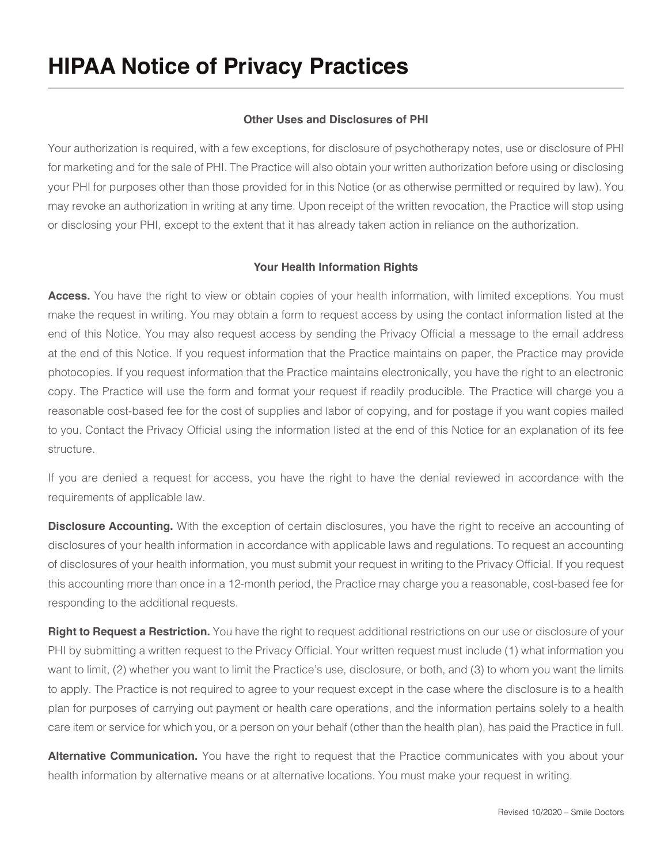### **Other Uses and Disclosures of PHI**

Your authorization is required, with a few exceptions, for disclosure of psychotherapy notes, use or disclosure of PHI for marketing and for the sale of PHI. The Practice will also obtain your written authorization before using or disclosing your PHI for purposes other than those provided for in this Notice (or as otherwise permitted or required by law). You may revoke an authorization in writing at any time. Upon receipt of the written revocation, the Practice will stop using or disclosing your PHI, except to the extent that it has already taken action in reliance on the authorization.

### **Your Health Information Rights**

Access. You have the right to view or obtain copies of your health information, with limited exceptions. You must make the request in writing. You may obtain a form to request access by using the contact information listed at the end of this Notice. You may also request access by sending the Privacy Official a message to the email address at the end of this Notice. If you request information that the Practice maintains on paper, the Practice may provide photocopies. If you request information that the Practice maintains electronically, you have the right to an electronic copy. The Practice will use the form and format your request if readily producible. The Practice will charge you a reasonable cost-based fee for the cost of supplies and labor of copying, and for postage if you want copies mailed to you. Contact the Privacy Official using the information listed at the end of this Notice for an explanation of its fee structure.

If you are denied a request for access, you have the right to have the denial reviewed in accordance with the requirements of applicable law.

**Disclosure Accounting.** With the exception of certain disclosures, you have the right to receive an accounting of disclosures of your health information in accordance with applicable laws and regulations. To request an accounting of disclosures of your health information, you must submit your request in writing to the Privacy Official. If you request this accounting more than once in a 12-month period, the Practice may charge you a reasonable, cost-based fee for responding to the additional requests.

**Right to Request a Restriction.** You have the right to request additional restrictions on our use or disclosure of your PHI by submitting a written request to the Privacy Official. Your written request must include (1) what information you want to limit, (2) whether you want to limit the Practice's use, disclosure, or both, and (3) to whom you want the limits to apply. The Practice is not required to agree to your request except in the case where the disclosure is to a health plan for purposes of carrying out payment or health care operations, and the information pertains solely to a health care item or service for which you, or a person on your behalf (other than the health plan), has paid the Practice in full.

**Alternative Communication.** You have the right to request that the Practice communicates with you about your health information by alternative means or at alternative locations. You must make your request in writing.